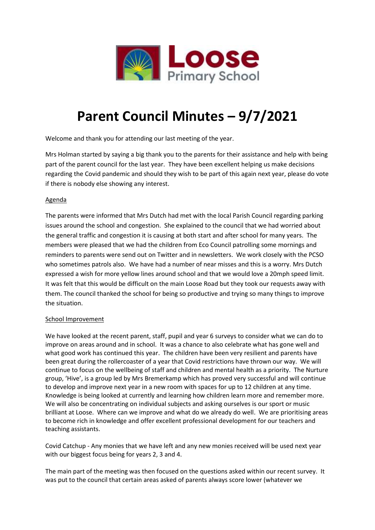

# **Parent Council Minutes – 9/7/2021**

Welcome and thank you for attending our last meeting of the year.

Mrs Holman started by saying a big thank you to the parents for their assistance and help with being part of the parent council for the last year. They have been excellent helping us make decisions regarding the Covid pandemic and should they wish to be part of this again next year, please do vote if there is nobody else showing any interest.

## Agenda

The parents were informed that Mrs Dutch had met with the local Parish Council regarding parking issues around the school and congestion. She explained to the council that we had worried about the general traffic and congestion it is causing at both start and after school for many years. The members were pleased that we had the children from Eco Council patrolling some mornings and reminders to parents were send out on Twitter and in newsletters. We work closely with the PCSO who sometimes patrols also. We have had a number of near misses and this is a worry. Mrs Dutch expressed a wish for more yellow lines around school and that we would love a 20mph speed limit. It was felt that this would be difficult on the main Loose Road but they took our requests away with them. The council thanked the school for being so productive and trying so many things to improve the situation.

## School Improvement

We have looked at the recent parent, staff, pupil and year 6 surveys to consider what we can do to improve on areas around and in school. It was a chance to also celebrate what has gone well and what good work has continued this year. The children have been very resilient and parents have been great during the rollercoaster of a year that Covid restrictions have thrown our way. We will continue to focus on the wellbeing of staff and children and mental health as a priority. The Nurture group, 'Hive', is a group led by Mrs Bremerkamp which has proved very successful and will continue to develop and improve next year in a new room with spaces for up to 12 children at any time. Knowledge is being looked at currently and learning how children learn more and remember more. We will also be concentrating on individual subjects and asking ourselves is our sport or music brilliant at Loose. Where can we improve and what do we already do well. We are prioritising areas to become rich in knowledge and offer excellent professional development for our teachers and teaching assistants.

Covid Catchup - Any monies that we have left and any new monies received will be used next year with our biggest focus being for years 2, 3 and 4.

The main part of the meeting was then focused on the questions asked within our recent survey. It was put to the council that certain areas asked of parents always score lower (whatever we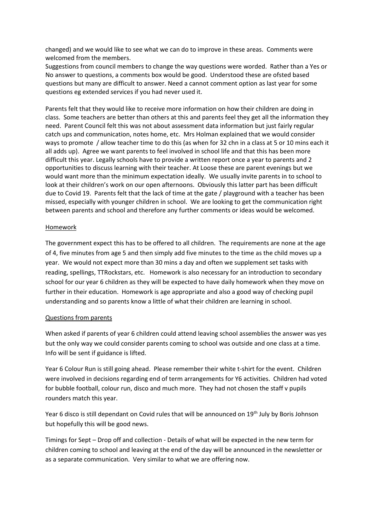changed) and we would like to see what we can do to improve in these areas. Comments were welcomed from the members.

Suggestions from council members to change the way questions were worded. Rather than a Yes or No answer to questions, a comments box would be good. Understood these are ofsted based questions but many are difficult to answer. Need a cannot comment option as last year for some questions eg extended services if you had never used it.

Parents felt that they would like to receive more information on how their children are doing in class. Some teachers are better than others at this and parents feel they get all the information they need. Parent Council felt this was not about assessment data information but just fairly regular catch ups and communication, notes home, etc. Mrs Holman explained that we would consider ways to promote / allow teacher time to do this (as when for 32 chn in a class at 5 or 10 mins each it all adds up). Agree we want parents to feel involved in school life and that this has been more difficult this year. Legally schools have to provide a written report once a year to parents and 2 opportunities to discuss learning with their teacher. At Loose these are parent evenings but we would want more than the minimum expectation ideally. We usually invite parents in to school to look at their children's work on our open afternoons. Obviously this latter part has been difficult due to Covid 19. Parents felt that the lack of time at the gate / playground with a teacher has been missed, especially with younger children in school. We are looking to get the communication right between parents and school and therefore any further comments or ideas would be welcomed.

### Homework

The government expect this has to be offered to all children. The requirements are none at the age of 4, five minutes from age 5 and then simply add five minutes to the time as the child moves up a year. We would not expect more than 30 mins a day and often we supplement set tasks with reading, spellings, TTRockstars, etc. Homework is also necessary for an introduction to secondary school for our year 6 children as they will be expected to have daily homework when they move on further in their education. Homework is age appropriate and also a good way of checking pupil understanding and so parents know a little of what their children are learning in school.

#### Questions from parents

When asked if parents of year 6 children could attend leaving school assemblies the answer was yes but the only way we could consider parents coming to school was outside and one class at a time. Info will be sent if guidance is lifted.

Year 6 Colour Run is still going ahead. Please remember their white t-shirt for the event. Children were involved in decisions regarding end of term arrangements for Y6 activities. Children had voted for bubble football, colour run, disco and much more. They had not chosen the staff v pupils rounders match this year.

Year 6 disco is still dependant on Covid rules that will be announced on 19<sup>th</sup> July by Boris Johnson but hopefully this will be good news.

Timings for Sept – Drop off and collection - Details of what will be expected in the new term for children coming to school and leaving at the end of the day will be announced in the newsletter or as a separate communication. Very similar to what we are offering now.